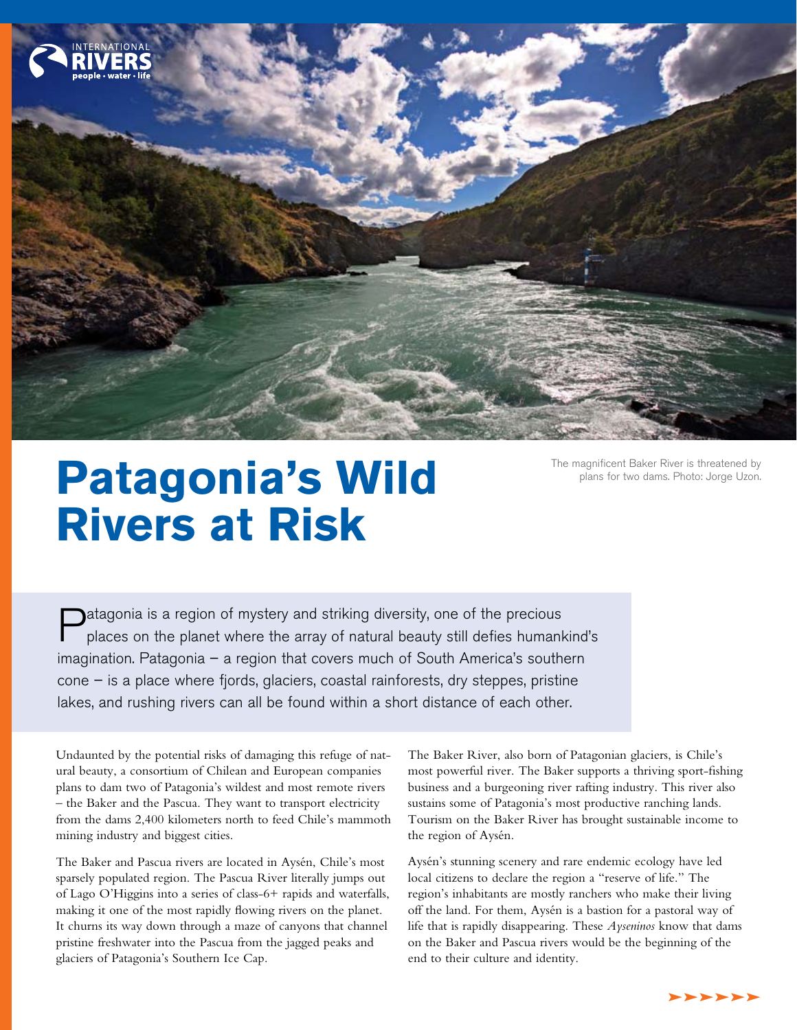

# **Patagonia's Wild** The magnificent Baker River is threatened by plans for two dams. Photo: Jorge Uzon. **Rivers at Risk**

Patagonia is a region of mystery and striking diversity, one of the precious places on the planet where the array of natural beauty still defies humankind's imagination. Patagonia – a region that covers much of South America's southern cone – is a place where fjords, glaciers, coastal rainforests, dry steppes, pristine lakes, and rushing rivers can all be found within a short distance of each other.

Undaunted by the potential risks of damaging this refuge of natural beauty, a consortium of Chilean and European companies plans to dam two of Patagonia's wildest and most remote rivers – the Baker and the Pascua. They want to transport electricity from the dams 2,400 kilometers north to feed Chile's mammoth mining industry and biggest cities.

The Baker and Pascua rivers are located in Aysén, Chile's most sparsely populated region. The Pascua River literally jumps out of Lago O'Higgins into a series of class-6+ rapids and waterfalls, making it one of the most rapidly flowing rivers on the planet. It churns its way down through a maze of canyons that channel pristine freshwater into the Pascua from the jagged peaks and glaciers of Patagonia's Southern Ice Cap.

The Baker River, also born of Patagonian glaciers, is Chile's most powerful river. The Baker supports a thriving sport-fishing business and a burgeoning river rafting industry. This river also sustains some of Patagonia's most productive ranching lands. Tourism on the Baker River has brought sustainable income to the region of Aysén.

Aysén's stunning scenery and rare endemic ecology have led local citizens to declare the region a "reserve of life." The region's inhabitants are mostly ranchers who make their living off the land. For them, Aysén is a bastion for a pastoral way of life that is rapidly disappearing. These *Ayseninos* know that dams on the Baker and Pascua rivers would be the beginning of the end to their culture and identity.

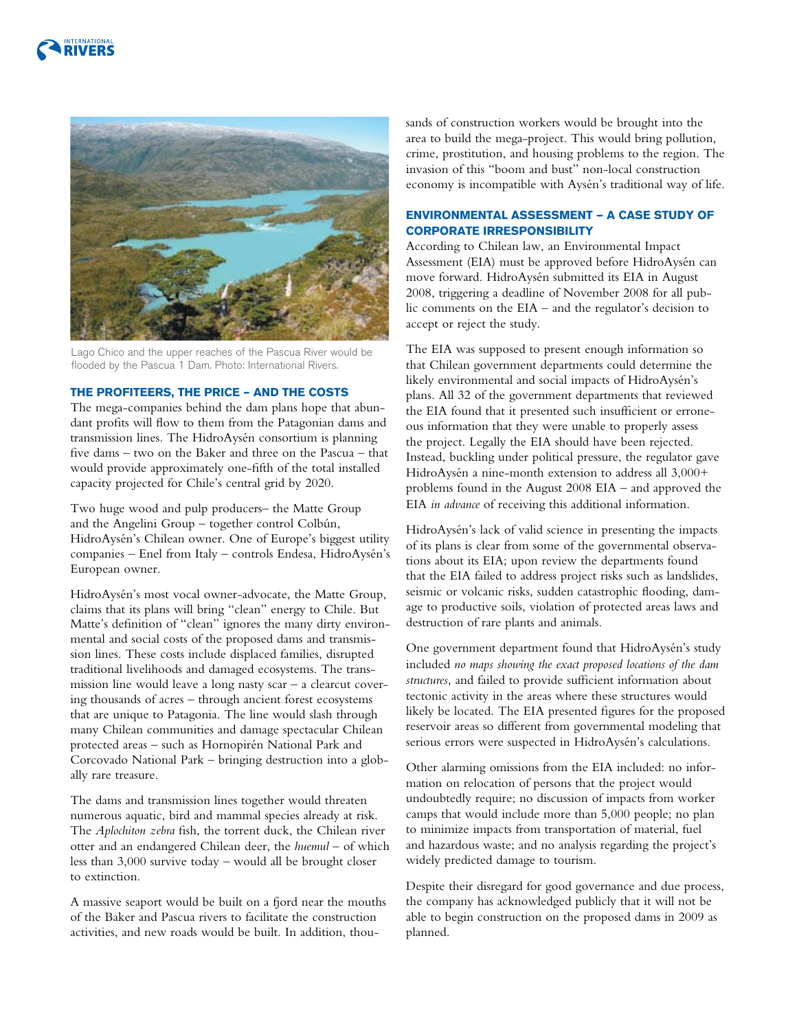



Lago Chico and the upper reaches of the Pascua River would be flooded by the Pascua 1 Dam. Photo: International Rivers.

# **The Profiteers, the Price – and the Costs**

The mega-companies behind the dam plans hope that abundant profits will flow to them from the Patagonian dams and transmission lines. The HidroAysén consortium is planning five dams – two on the Baker and three on the Pascua – that would provide approximately one-fifth of the total installed capacity projected for Chile's central grid by 2020.

Two huge wood and pulp producers– the Matte Group and the Angelini Group – together control Colbún, HidroAysén's Chilean owner. One of Europe's biggest utility companies – Enel from Italy – controls Endesa, HidroAysén's European owner.

HidroAysén's most vocal owner-advocate, the Matte Group, claims that its plans will bring "clean" energy to Chile. But Matte's definition of "clean" ignores the many dirty environmental and social costs of the proposed dams and transmission lines. These costs include displaced families, disrupted traditional livelihoods and damaged ecosystems. The transmission line would leave a long nasty scar – a clearcut covering thousands of acres – through ancient forest ecosystems that are unique to Patagonia. The line would slash through many Chilean communities and damage spectacular Chilean protected areas – such as Hornopirén National Park and Corcovado National Park – bringing destruction into a globally rare treasure.

The dams and transmission lines together would threaten numerous aquatic, bird and mammal species already at risk. The *Aplochiton zebra* fish, the torrent duck, the Chilean river otter and an endangered Chilean deer, the *huemul* – of which less than 3,000 survive today – would all be brought closer to extinction.

A massive seaport would be built on a fjord near the mouths of the Baker and Pascua rivers to facilitate the construction activities, and new roads would be built. In addition, thousands of construction workers would be brought into the area to build the mega-project. This would bring pollution, crime, prostitution, and housing problems to the region. The invasion of this "boom and bust" non-local construction economy is incompatible with Aysén's traditional way of life.

# **Environmental Assessment — A Case Study of Corporate Irresponsibility**

According to Chilean law, an Environmental Impact Assessment (EIA) must be approved before HidroAysén can move forward. HidroAysén submitted its EIA in August 2008, triggering a deadline of November 2008 for all public comments on the EIA – and the regulator's decision to accept or reject the study.

The EIA was supposed to present enough information so that Chilean government departments could determine the likely environmental and social impacts of HidroAysén's plans. All 32 of the government departments that reviewed the EIA found that it presented such insufficient or erroneous information that they were unable to properly assess the project. Legally the EIA should have been rejected. Instead, buckling under political pressure, the regulator gave HidroAysén a nine-month extension to address all 3,000+ problems found in the August 2008 EIA – and approved the EIA *in advance* of receiving this additional information.

HidroAysén's lack of valid science in presenting the impacts of its plans is clear from some of the governmental observations about its EIA; upon review the departments found that the EIA failed to address project risks such as landslides, seismic or volcanic risks, sudden catastrophic flooding, damage to productive soils, violation of protected areas laws and destruction of rare plants and animals.

One government department found that HidroAysén's study included *no maps showing the exact proposed locations of the dam structures*, and failed to provide sufficient information about tectonic activity in the areas where these structures would likely be located. The EIA presented figures for the proposed reservoir areas so different from governmental modeling that serious errors were suspected in HidroAysén's calculations.

Other alarming omissions from the EIA included: no information on relocation of persons that the project would undoubtedly require; no discussion of impacts from worker camps that would include more than 5,000 people; no plan to minimize impacts from transportation of material, fuel and hazardous waste; and no analysis regarding the project's widely predicted damage to tourism.

Despite their disregard for good governance and due process, the company has acknowledged publicly that it will not be able to begin construction on the proposed dams in 2009 as planned.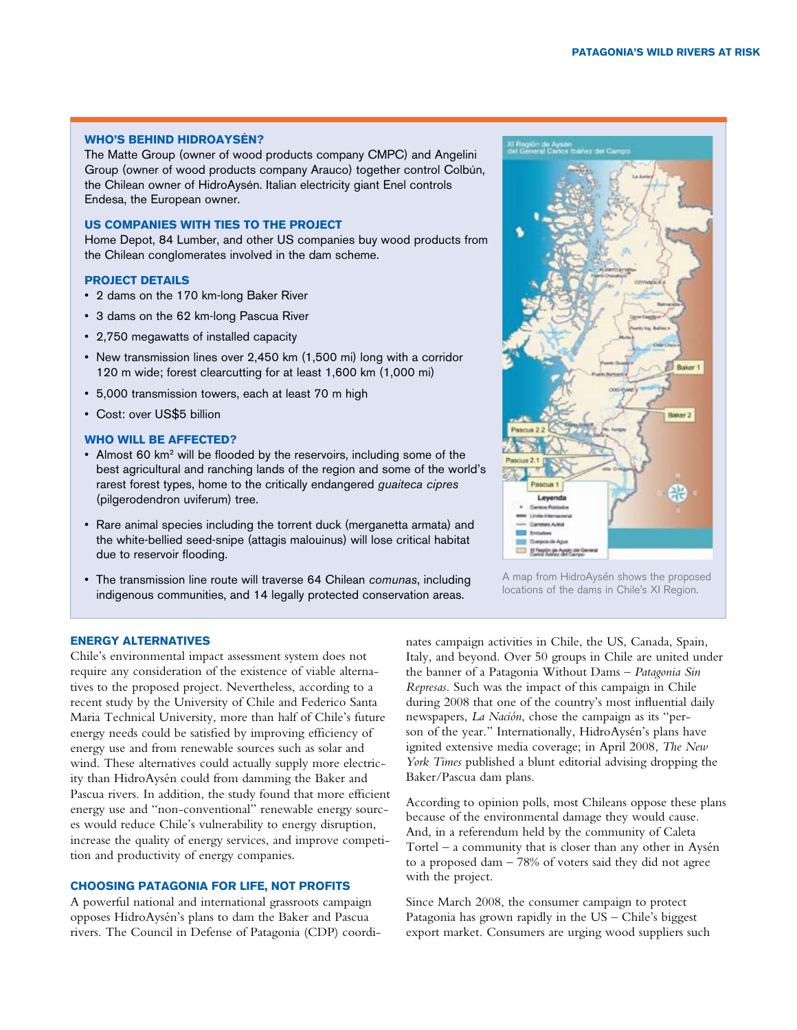#### **Who's Behind HidroAysén?**

The Matte Group (owner of wood products company CMPC) and Angelini Group (owner of wood products company Arauco) together control Colbún, the Chilean owner of HidroAysén. Italian electricity giant Enel controls Endesa, the European owner.

# **US Companies With Ties to the Project**

Home Depot, 84 Lumber, and other US companies buy wood products from the Chilean conglomerates involved in the dam scheme.

#### **Project Details**

- • 2 dams on the 170 km-long Baker River
- • 3 dams on the 62 km-long Pascua River
- • 2,750 megawatts of installed capacity
- New transmission lines over 2,450 km (1,500 mi) long with a corridor 120 m wide; forest clearcutting for at least 1,600 km (1,000 mi)
- • 5,000 transmission towers, each at least 70 m high
- • Cost: over US\$5 billion

## **Who Will Be Affected?**

- Almost 60 km<sup>2</sup> will be flooded by the reservoirs, including some of the best agricultural and ranching lands of the region and some of the world's rarest forest types, home to the critically endangered *guaiteca cipres* (pilgerodendron uviferum) tree.
- Rare animal species including the torrent duck (merganetta armata) and the white-bellied seed-snipe (attagis malouinus) will lose critical habitat due to reservoir flooding.
- • The transmission line route will traverse 64 Chilean *comunas*, including indigenous communities, and 14 legally protected conservation areas.



A map from HidroAysén shows the proposed locations of the dams in Chile's XI Region.

## **Energy Alternatives**

Chile's environmental impact assessment system does not require any consideration of the existence of viable alternatives to the proposed project. Nevertheless, according to a recent study by the University of Chile and Federico Santa Maria Technical University, more than half of Chile's future energy needs could be satisfied by improving efficiency of energy use and from renewable sources such as solar and wind. These alternatives could actually supply more electricity than HidroAysén could from damming the Baker and Pascua rivers. In addition, the study found that more efficient energy use and "non-conventional" renewable energy sources would reduce Chile's vulnerability to energy disruption, increase the quality of energy services, and improve competition and productivity of energy companies.

#### **Choosing Patagonia for Life, not Profits**

A powerful national and international grassroots campaign opposes HidroAysén's plans to dam the Baker and Pascua rivers. The Council in Defense of Patagonia (CDP) coordinates campaign activities in Chile, the US, Canada, Spain, Italy, and beyond. Over 50 groups in Chile are united under the banner of a Patagonia Without Dams – *Patagonia Sin Represas*. Such was the impact of this campaign in Chile during 2008 that one of the country's most influential daily newspapers, *La Nación*, chose the campaign as its "person of the year." Internationally, HidroAysén's plans have ignited extensive media coverage; in April 2008, *The New York Times* published a blunt editorial advising dropping the Baker/Pascua dam plans.

According to opinion polls, most Chileans oppose these plans because of the environmental damage they would cause. And, in a referendum held by the community of Caleta Tortel – a community that is closer than any other in Aysén to a proposed dam – 78% of voters said they did not agree with the project.

Since March 2008, the consumer campaign to protect Patagonia has grown rapidly in the US – Chile's biggest export market. Consumers are urging wood suppliers such